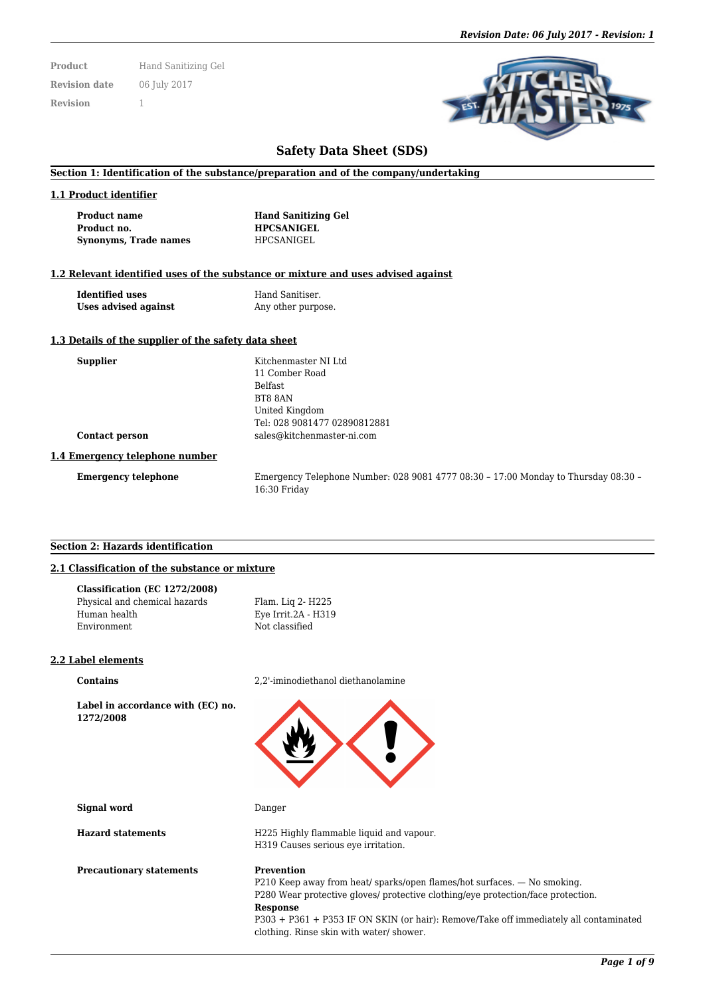**Product** Hand Sanitizing Gel **Revision date** 06 July 2017 **Revision** 1



# **Safety Data Sheet (SDS)**

## **Section 1: Identification of the substance/preparation and of the company/undertaking**

#### **1.1 Product identifier**

| Product name          | <b>Hand Sanitizing Gel</b> |  |  |  |
|-----------------------|----------------------------|--|--|--|
| Product no.           | <b>HPCSANIGEL</b>          |  |  |  |
| Synonyms, Trade names | <b>HPCSANIGEL</b>          |  |  |  |

## **1.2 Relevant identified uses of the substance or mixture and uses advised against**

| <b>Identified uses</b> |  |  |  |  |  |
|------------------------|--|--|--|--|--|
| Uses advised against   |  |  |  |  |  |

**Hand Sanitiser.** Any other purpose.

> Belfast BT8 8AN United Kingdom

**Supplier** Kitchenmaster NI Ltd 11 Comber Road

Tel: 028 9081477 02890812881 **Contact person** sales@kitchenmaster-ni.com

## **1.3 Details of the supplier of the safety data sheet**

| <b>Supplier</b>       |  |
|-----------------------|--|
|                       |  |
|                       |  |
|                       |  |
|                       |  |
| <b>Contact person</b> |  |

#### **1.4 Emergency telephone number**

**Emergency telephone** Emergency Telephone Number: 028 9081 4777 08:30 – 17:00 Monday to Thursday 08:30 – 16:30 Friday

#### **Section 2: Hazards identification**

## **2.1 Classification of the substance or mixture**

| Classification (EC 1272/2008) |                     |
|-------------------------------|---------------------|
| Physical and chemical hazards | Flam. Lig 2- H225   |
| Human health                  | Eye Irrit.2A - H319 |
| Environment                   | Not classified      |

## **2.2 Label elements**

**Label in accordance with (EC) no. 1272/2008**

**Contains** 2,2'-iminodiethanol diethanolamine



**Signal word** Danger

**Hazard statements** H225 Highly flammable liquid and vapour. H319 Causes serious eye irritation.

## **Precautionary statements Prevention**

P210 Keep away from heat/ sparks/open flames/hot surfaces. — No smoking. P280 Wear protective gloves/ protective clothing/eye protection/face protection. **Response**

P303 + P361 + P353 IF ON SKIN (or hair): Remove/Take off immediately all contaminated clothing. Rinse skin with water/ shower.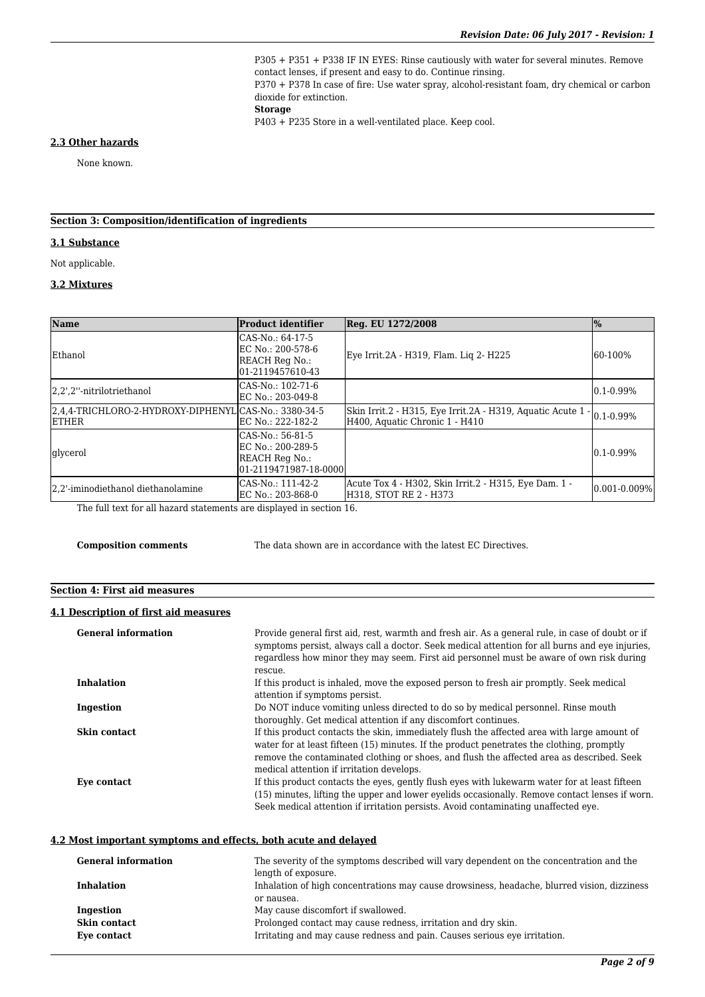P305 + P351 + P338 IF IN EYES: Rinse cautiously with water for several minutes. Remove contact lenses, if present and easy to do. Continue rinsing. P370 + P378 In case of fire: Use water spray, alcohol-resistant foam, dry chemical or carbon dioxide for extinction. **Storage**

P403 + P235 Store in a well-ventilated place. Keep cool.

#### **2.3 Other hazards**

None known.

# **Section 3: Composition/identification of ingredients**

## **3.1 Substance**

Not applicable.

# **3.2 Mixtures**

| Name                                                                  | <b>Product identifier</b>                                                        | Reg. EU 1272/2008                                                                             | $\frac{1}{2}$       |
|-----------------------------------------------------------------------|----------------------------------------------------------------------------------|-----------------------------------------------------------------------------------------------|---------------------|
| Ethanol                                                               | CAS-No.: 64-17-5<br>EC No.: 200-578-6<br>REACH Reg No.:<br>01-2119457610-43      | Eye Irrit.2A - H319, Flam. Liq 2- H225                                                        | 60-100%             |
| 2.2',2"-nitrilotriethanol                                             | CAS-No.: 102-71-6<br>EC No.: 203-049-8                                           |                                                                                               | $0.1 - 0.99\%$      |
| 2,4,4-TRICHLORO-2-HYDROXY-DIPHENYL CAS-No.: 3380-34-5<br><b>ETHER</b> | EC No.: 222-182-2                                                                | Skin Irrit.2 - H315, Eye Irrit.2A - H319, Aquatic Acute 1 -<br>H400, Aquatic Chronic 1 - H410 | $0.1 - 0.99\%$      |
| glycerol                                                              | CAS-No.: 56-81-5<br>EC No.: 200-289-5<br>REACH Reg No.:<br>01-2119471987-18-0000 |                                                                                               | $0.1 - 0.99\%$      |
| 2.2'-iminodiethanol diethanolamine                                    | CAS-No.: 111-42-2<br>EC No.: 203-868-0                                           | Acute Tox 4 - H302, Skin Irrit.2 - H315, Eye Dam. 1 -<br>H318, STOT RE 2 - H373               | $[0.001 - 0.009\%]$ |

The full text for all hazard statements are displayed in section 16.

**Composition comments** The data shown are in accordance with the latest EC Directives.

# **Section 4: First aid measures**

## **4.1 Description of first aid measures**

| <b>General information</b> | Provide general first aid, rest, warmth and fresh air. As a general rule, in case of doubt or if<br>symptoms persist, always call a doctor. Seek medical attention for all burns and eye injuries,<br>regardless how minor they may seem. First aid personnel must be aware of own risk during                                     |
|----------------------------|------------------------------------------------------------------------------------------------------------------------------------------------------------------------------------------------------------------------------------------------------------------------------------------------------------------------------------|
|                            | rescue.                                                                                                                                                                                                                                                                                                                            |
| <b>Inhalation</b>          | If this product is inhaled, move the exposed person to fresh air promptly. Seek medical<br>attention if symptoms persist.                                                                                                                                                                                                          |
| Ingestion                  | Do NOT induce vomiting unless directed to do so by medical personnel. Rinse mouth<br>thoroughly. Get medical attention if any discomfort continues.                                                                                                                                                                                |
| Skin contact               | If this product contacts the skin, immediately flush the affected area with large amount of<br>water for at least fifteen (15) minutes. If the product penetrates the clothing, promptly<br>remove the contaminated clothing or shoes, and flush the affected area as described. Seek<br>medical attention if irritation develops. |
| Eye contact                | If this product contacts the eyes, gently flush eyes with lukewarm water for at least fifteen<br>(15) minutes, lifting the upper and lower eyelids occasionally. Remove contact lenses if worn.<br>Seek medical attention if irritation persists. Avoid contaminating unaffected eye.                                              |

## **4.2 Most important symptoms and effects, both acute and delayed**

| <b>General information</b> | The severity of the symptoms described will vary dependent on the concentration and the<br>length of exposure. |
|----------------------------|----------------------------------------------------------------------------------------------------------------|
| <b>Inhalation</b>          | Inhalation of high concentrations may cause drowsiness, headache, blurred vision, dizziness                    |
|                            | or nausea.                                                                                                     |
| Ingestion                  | May cause discomfort if swallowed.                                                                             |
| Skin contact               | Prolonged contact may cause redness, irritation and dry skin.                                                  |
| Eye contact                | Irritating and may cause redness and pain. Causes serious eye irritation.                                      |
|                            |                                                                                                                |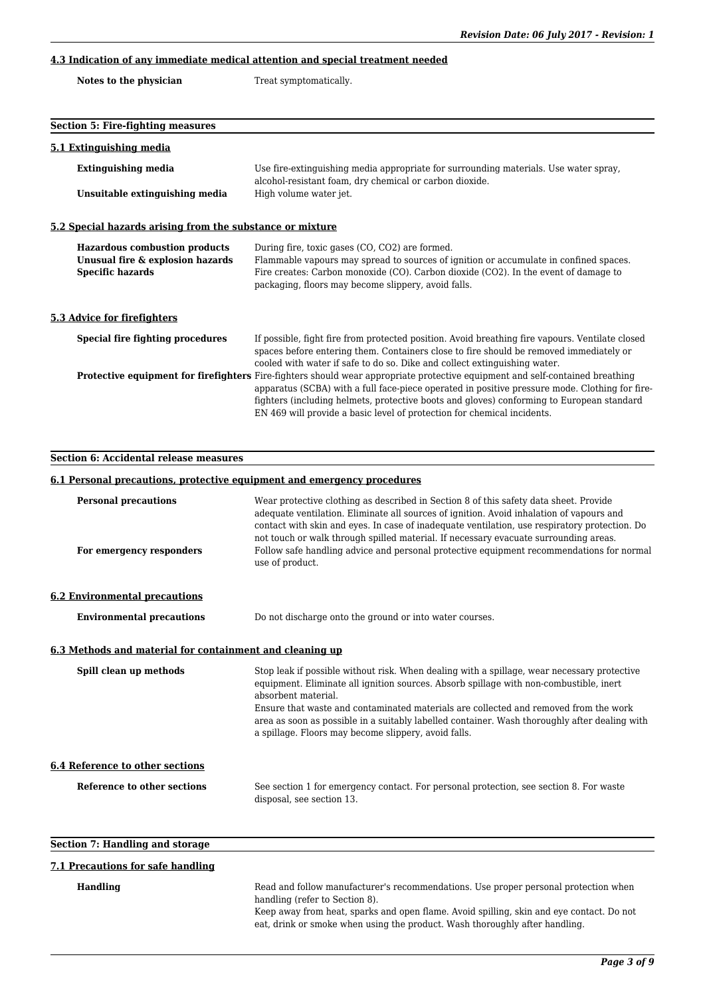# **4.3 Indication of any immediate medical attention and special treatment needed**

| Notes to the physician | Treat symptomatically. |
|------------------------|------------------------|
|------------------------|------------------------|

| <b>Section 5: Fire-fighting measures</b>                                                            |                                                                                                                                                                                                                                                                                                                                                                                                                |
|-----------------------------------------------------------------------------------------------------|----------------------------------------------------------------------------------------------------------------------------------------------------------------------------------------------------------------------------------------------------------------------------------------------------------------------------------------------------------------------------------------------------------------|
| 5.1 Extinguishing media                                                                             |                                                                                                                                                                                                                                                                                                                                                                                                                |
| <b>Extinguishing media</b>                                                                          | Use fire-extinguishing media appropriate for surrounding materials. Use water spray,<br>alcohol-resistant foam, dry chemical or carbon dioxide.                                                                                                                                                                                                                                                                |
| Unsuitable extinguishing media                                                                      | High volume water jet.                                                                                                                                                                                                                                                                                                                                                                                         |
| 5.2 Special hazards arising from the substance or mixture                                           |                                                                                                                                                                                                                                                                                                                                                                                                                |
| <b>Hazardous combustion products</b><br>Unusual fire & explosion hazards<br><b>Specific hazards</b> | During fire, toxic gases (CO, CO2) are formed.<br>Flammable vapours may spread to sources of ignition or accumulate in confined spaces.<br>Fire creates: Carbon monoxide (CO). Carbon dioxide (CO2). In the event of damage to<br>packaging, floors may become slippery, avoid falls.                                                                                                                          |
| 5.3 Advice for firefighters                                                                         |                                                                                                                                                                                                                                                                                                                                                                                                                |
| Special fire fighting procedures                                                                    | If possible, fight fire from protected position. Avoid breathing fire vapours. Ventilate closed<br>spaces before entering them. Containers close to fire should be removed immediately or<br>cooled with water if safe to do so. Dike and collect extinguishing water.                                                                                                                                         |
|                                                                                                     | <b>Protective equipment for firefighters</b> Fire-fighters should wear appropriate protective equipment and self-contained breathing<br>apparatus (SCBA) with a full face-piece operated in positive pressure mode. Clothing for fire-<br>fighters (including helmets, protective boots and gloves) conforming to European standard<br>EN 469 will provide a basic level of protection for chemical incidents. |

**Section 6: Accidental release measures 6.1 Personal precautions, protective equipment and emergency procedures**

| <b>Personal precautions</b><br>For emergency responders  | Wear protective clothing as described in Section 8 of this safety data sheet. Provide<br>adequate ventilation. Eliminate all sources of ignition. Avoid inhalation of vapours and<br>contact with skin and eyes. In case of inadequate ventilation, use respiratory protection. Do<br>not touch or walk through spilled material. If necessary evacuate surrounding areas.<br>Follow safe handling advice and personal protective equipment recommendations for normal<br>use of product. |
|----------------------------------------------------------|-------------------------------------------------------------------------------------------------------------------------------------------------------------------------------------------------------------------------------------------------------------------------------------------------------------------------------------------------------------------------------------------------------------------------------------------------------------------------------------------|
| <b>6.2 Environmental precautions</b>                     |                                                                                                                                                                                                                                                                                                                                                                                                                                                                                           |
| <b>Environmental precautions</b>                         | Do not discharge onto the ground or into water courses.                                                                                                                                                                                                                                                                                                                                                                                                                                   |
| 6.3 Methods and material for containment and cleaning up |                                                                                                                                                                                                                                                                                                                                                                                                                                                                                           |
| Spill clean up methods                                   | Stop leak if possible without risk. When dealing with a spillage, wear necessary protective<br>equipment. Eliminate all ignition sources. Absorb spillage with non-combustible, inert<br>absorbent material.<br>Ensure that waste and contaminated materials are collected and removed from the work<br>area as soon as possible in a suitably labelled container. Wash thoroughly after dealing with<br>a spillage. Floors may become slippery, avoid falls.                             |
| <b>6.4 Reference to other sections</b>                   |                                                                                                                                                                                                                                                                                                                                                                                                                                                                                           |
| Reference to other sections                              | See section 1 for emergency contact. For personal protection, see section 8. For waste<br>disposal, see section 13.                                                                                                                                                                                                                                                                                                                                                                       |
| <b>Section 7: Handling and storage</b>                   |                                                                                                                                                                                                                                                                                                                                                                                                                                                                                           |

## **7.1 Precautions for safe handling**

Handling Read and follow manufacturer's recommendations. Use proper personal protection when handling (refer to Section 8).

Keep away from heat, sparks and open flame. Avoid spilling, skin and eye contact. Do not eat, drink or smoke when using the product. Wash thoroughly after handling.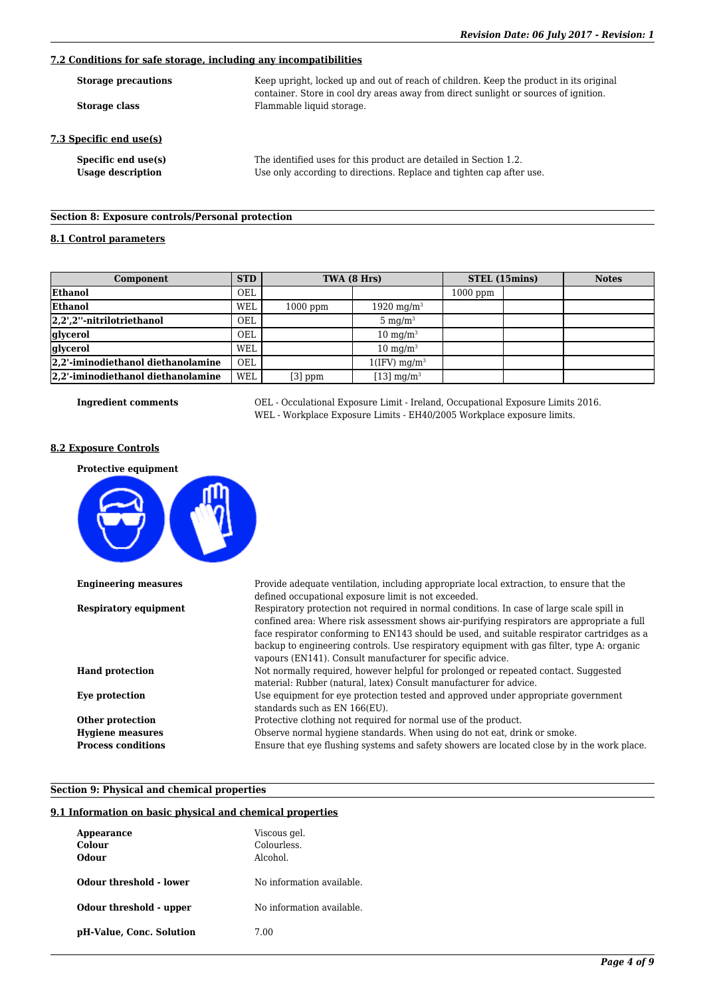# **7.2 Conditions for safe storage, including any incompatibilities**

| <b>Storage precautions</b>                      | Keep upright, locked up and out of reach of children. Keep the product in its original                                                    |  |  |
|-------------------------------------------------|-------------------------------------------------------------------------------------------------------------------------------------------|--|--|
| Storage class                                   | container. Store in cool dry areas away from direct sunlight or sources of ignition.<br>Flammable liquid storage.                         |  |  |
| 7.3 Specific end use(s)                         |                                                                                                                                           |  |  |
| Specific end use(s)<br><b>Usage description</b> | The identified uses for this product are detailed in Section 1.2.<br>Use only according to directions. Replace and tighten cap after use. |  |  |

# **Section 8: Exposure controls/Personal protection**

# **8.1 Control parameters**

| Component                          | <b>STD</b> | TWA (8 Hrs) |                            | STEL (15mins) |  | <b>Notes</b> |
|------------------------------------|------------|-------------|----------------------------|---------------|--|--------------|
| Ethanol                            | OEL        |             |                            | $1000$ ppm    |  |              |
| Ethanol                            | WEL        | $1000$ ppm  | 1920 mg/m <sup>3</sup>     |               |  |              |
| $ 2,2$ ',2''-nitrilotriethanol     | <b>OEL</b> |             | $5 \text{ mg/m}^3$         |               |  |              |
| glycerol                           | OEL        |             | $10 \text{ mg/m}^3$        |               |  |              |
| glycerol                           | WEL        |             | $10 \text{ mg/m}^3$        |               |  |              |
| 2,2'-iminodiethanol diethanolamine | OEL        |             | $1(IFV)$ mg/m <sup>3</sup> |               |  |              |
| 2,2'-iminodiethanol diethanolamine | <b>WEL</b> | $[3]$ ppm   | [13] $mg/m3$               |               |  |              |

**Ingredient comments** OEL - Occulational Exposure Limit - Ireland, Occupational Exposure Limits 2016. WEL - Workplace Exposure Limits - EH40/2005 Workplace exposure limits.

#### **8.2 Exposure Controls**

| <b>Protective equipment</b>  |                                                                                                                                                                                                                                                                                                                                                                                                                                                     |
|------------------------------|-----------------------------------------------------------------------------------------------------------------------------------------------------------------------------------------------------------------------------------------------------------------------------------------------------------------------------------------------------------------------------------------------------------------------------------------------------|
| <b>Engineering measures</b>  | Provide adequate ventilation, including appropriate local extraction, to ensure that the<br>defined occupational exposure limit is not exceeded.                                                                                                                                                                                                                                                                                                    |
| <b>Respiratory equipment</b> | Respiratory protection not required in normal conditions. In case of large scale spill in<br>confined area: Where risk assessment shows air-purifying respirators are appropriate a full<br>face respirator conforming to EN143 should be used, and suitable respirator cartridges as a<br>backup to engineering controls. Use respiratory equipment with gas filter, type A: organic<br>vapours (EN141). Consult manufacturer for specific advice. |
| <b>Hand protection</b>       | Not normally required, however helpful for prolonged or repeated contact. Suggested<br>material: Rubber (natural, latex) Consult manufacturer for advice.                                                                                                                                                                                                                                                                                           |
| Eye protection               | Use equipment for eye protection tested and approved under appropriate government<br>standards such as EN 166(EU).                                                                                                                                                                                                                                                                                                                                  |
| Other protection             | Protective clothing not required for normal use of the product.                                                                                                                                                                                                                                                                                                                                                                                     |
| <b>Hygiene measures</b>      | Observe normal hygiene standards. When using do not eat, drink or smoke.                                                                                                                                                                                                                                                                                                                                                                            |
| <b>Process conditions</b>    | Ensure that eye flushing systems and safety showers are located close by in the work place.                                                                                                                                                                                                                                                                                                                                                         |

## **Section 9: Physical and chemical properties**

## **9.1 Information on basic physical and chemical properties**

| Appearance<br>Colour<br>Odour | Viscous gel.<br>Colourless.<br>Alcohol. |
|-------------------------------|-----------------------------------------|
| Odour threshold - lower       | No information available.               |
| Odour threshold - upper       | No information available.               |
| pH-Value, Conc. Solution      | 7.00                                    |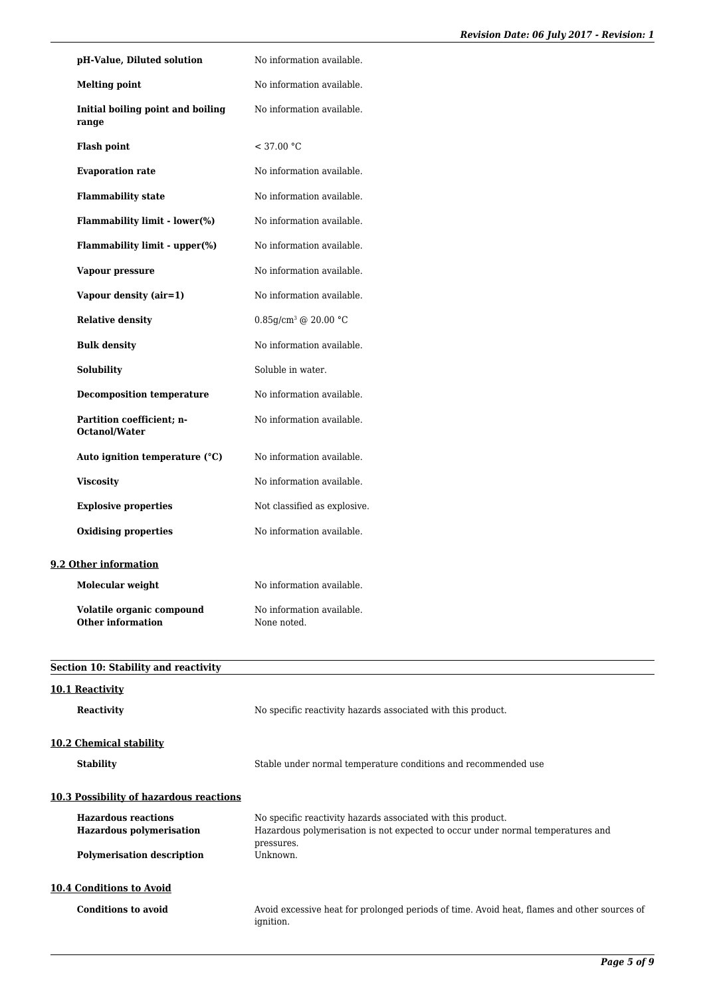| pH-Value, Diluted solution                                    | No information available.                                                                                                                                     |
|---------------------------------------------------------------|---------------------------------------------------------------------------------------------------------------------------------------------------------------|
| <b>Melting point</b>                                          | No information available.                                                                                                                                     |
| Initial boiling point and boiling<br>range                    | No information available.                                                                                                                                     |
| <b>Flash point</b>                                            | < 37.00 °C                                                                                                                                                    |
| <b>Evaporation rate</b>                                       | No information available.                                                                                                                                     |
| <b>Flammability state</b>                                     | No information available.                                                                                                                                     |
| Flammability limit - lower(%)                                 | No information available.                                                                                                                                     |
| Flammability limit - upper(%)                                 | No information available.                                                                                                                                     |
| Vapour pressure                                               | No information available.                                                                                                                                     |
| Vapour density (air=1)                                        | No information available.                                                                                                                                     |
| <b>Relative density</b>                                       | $0.85$ g/cm <sup>3</sup> @ 20.00 °C                                                                                                                           |
| <b>Bulk density</b>                                           | No information available.                                                                                                                                     |
| Solubility                                                    | Soluble in water.                                                                                                                                             |
| <b>Decomposition temperature</b>                              | No information available.                                                                                                                                     |
| Partition coefficient; n-<br>Octanol/Water                    | No information available.                                                                                                                                     |
| Auto ignition temperature (°C)                                | No information available.                                                                                                                                     |
| <b>Viscosity</b>                                              | No information available.                                                                                                                                     |
| <b>Explosive properties</b>                                   | Not classified as explosive.                                                                                                                                  |
| <b>Oxidising properties</b>                                   | No information available.                                                                                                                                     |
| 9.2 Other information                                         |                                                                                                                                                               |
| Molecular weight                                              | No information available.                                                                                                                                     |
| Volatile organic compound<br><b>Other information</b>         | No information available.<br>None noted.                                                                                                                      |
| Section 10: Stability and reactivity                          |                                                                                                                                                               |
| 10.1 Reactivity                                               |                                                                                                                                                               |
| <b>Reactivity</b>                                             | No specific reactivity hazards associated with this product.                                                                                                  |
| 10.2 Chemical stability                                       |                                                                                                                                                               |
| <b>Stability</b>                                              | Stable under normal temperature conditions and recommended use                                                                                                |
| 10.3 Possibility of hazardous reactions                       |                                                                                                                                                               |
| <b>Hazardous reactions</b><br><b>Hazardous polymerisation</b> | No specific reactivity hazards associated with this product.<br>Hazardous polymerisation is not expected to occur under normal temperatures and<br>pressures. |
| <b>Polymerisation description</b>                             | Unknown.                                                                                                                                                      |

**10.4 Conditions to Avoid**

**Polymerisation description** 

**Conditions to avoid** Avoid excessive heat for prolonged periods of time. Avoid heat, flames and other sources of ignition.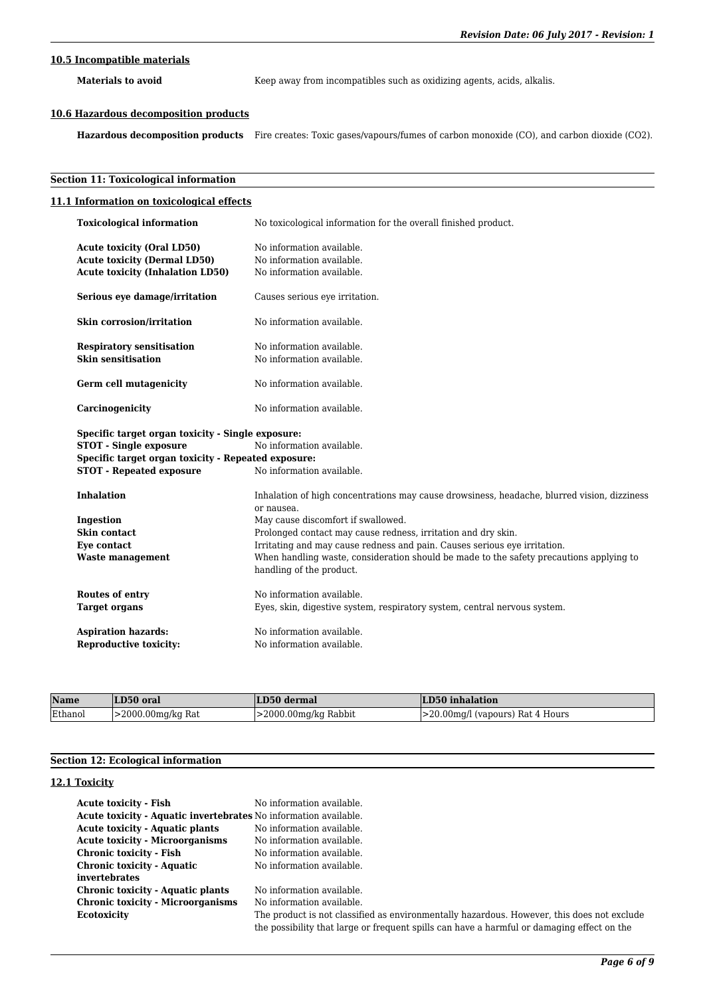# **10.5 Incompatible materials**

Materials to avoid **Keep** away from incompatibles such as oxidizing agents, acids, alkalis.

## **10.6 Hazardous decomposition products**

**Hazardous decomposition products** Fire creates: Toxic gases/vapours/fumes of carbon monoxide (CO), and carbon dioxide (CO2).

## **Section 11: Toxicological information**

| 11.1 Information on toxicological effects           |                                                                                                                     |
|-----------------------------------------------------|---------------------------------------------------------------------------------------------------------------------|
| <b>Toxicological information</b>                    | No toxicological information for the overall finished product.                                                      |
| <b>Acute toxicity (Oral LD50)</b>                   | No information available.                                                                                           |
| <b>Acute toxicity (Dermal LD50)</b>                 | No information available.                                                                                           |
| <b>Acute toxicity (Inhalation LD50)</b>             | No information available.                                                                                           |
| Serious eye damage/irritation                       | Causes serious eye irritation.                                                                                      |
| Skin corrosion/irritation                           | No information available.                                                                                           |
| <b>Respiratory sensitisation</b>                    | No information available.                                                                                           |
| <b>Skin sensitisation</b>                           | No information available.                                                                                           |
| Germ cell mutagenicity                              | No information available.                                                                                           |
| Carcinogenicity                                     | No information available.                                                                                           |
| Specific target organ toxicity - Single exposure:   |                                                                                                                     |
| <b>STOT - Single exposure</b>                       | No information available.                                                                                           |
| Specific target organ toxicity - Repeated exposure: |                                                                                                                     |
| <b>STOT - Repeated exposure</b>                     | No information available.                                                                                           |
| <b>Inhalation</b>                                   | Inhalation of high concentrations may cause drowsiness, headache, blurred vision, dizziness                         |
|                                                     | or nausea.                                                                                                          |
| Ingestion                                           | May cause discomfort if swallowed.                                                                                  |
| Skin contact                                        | Prolonged contact may cause redness, irritation and dry skin.                                                       |
| Eye contact                                         | Irritating and may cause redness and pain. Causes serious eye irritation.                                           |
| <b>Waste management</b>                             | When handling waste, consideration should be made to the safety precautions applying to<br>handling of the product. |
| Routes of entry                                     | No information available.                                                                                           |
| <b>Target organs</b>                                | Eyes, skin, digestive system, respiratory system, central nervous system.                                           |
| <b>Aspiration hazards:</b>                          | No information available.                                                                                           |
| <b>Reproductive toxicity:</b>                       | No information available.                                                                                           |

| Name    | LD50 oral               | LD50 dermal          | LD50 inhalation                         |
|---------|-------------------------|----------------------|-----------------------------------------|
| Ethanol | $\geq$ 2000.00mg/kg Rat | >2000.00mg/kg Rabbit | $\geq$ 20.00 mg/l (vapours) Rat 4 Hours |

## **Section 12: Ecological information**

# **12.1 Toxicity**

| Acute toxicity - Fish                                                   | No information available.                                                                  |
|-------------------------------------------------------------------------|--------------------------------------------------------------------------------------------|
| <b>Acute toxicity - Aquatic invertebrates</b> No information available. |                                                                                            |
| <b>Acute toxicity - Aquatic plants</b>                                  | No information available.                                                                  |
| <b>Acute toxicity - Microorganisms</b>                                  | No information available.                                                                  |
| Chronic toxicity - Fish                                                 | No information available.                                                                  |
| <b>Chronic toxicity - Aquatic</b>                                       | No information available.                                                                  |
| invertebrates                                                           |                                                                                            |
| Chronic toxicity - Aquatic plants                                       | No information available.                                                                  |
| <b>Chronic toxicity - Microorganisms</b>                                | No information available.                                                                  |
| Ecotoxicity                                                             | The product is not classified as environmentally hazardous. However, this does not exclude |
|                                                                         | the possibility that large or frequent spills can have a harmful or damaging effect on the |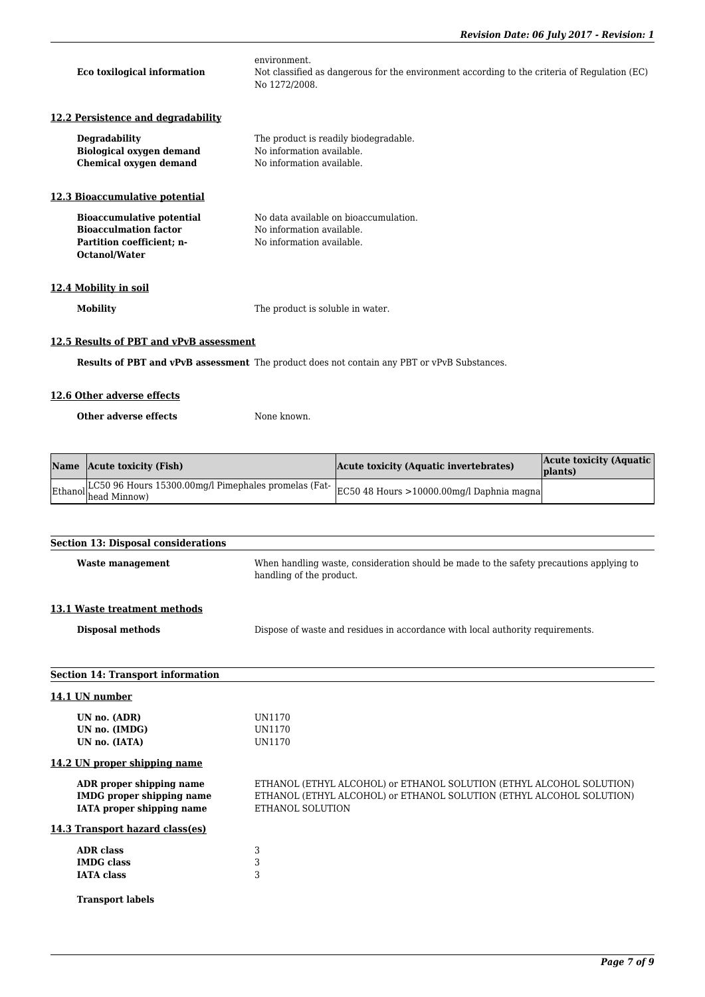| Eco toxilogical information                                                                                           | environment.<br>Not classified as dangerous for the environment according to the criteria of Regulation (EC)<br>No 1272/2008. |
|-----------------------------------------------------------------------------------------------------------------------|-------------------------------------------------------------------------------------------------------------------------------|
| 12.2 Persistence and degradability                                                                                    |                                                                                                                               |
| <b>Degradability</b><br><b>Biological oxygen demand</b><br>Chemical oxygen demand                                     | The product is readily biodegradable.<br>No information available.<br>No information available.                               |
| 12.3 Bioaccumulative potential                                                                                        |                                                                                                                               |
| <b>Bioaccumulative potential</b><br><b>Bioacculmation factor</b><br>Partition coefficient; n-<br><b>Octanol/Water</b> | No data available on bioaccumulation.<br>No information available.<br>No information available.                               |
| 12.4 Mobility in soil                                                                                                 |                                                                                                                               |
| <b>Mobility</b>                                                                                                       | The product is soluble in water.                                                                                              |

## **12.5 Results of PBT and vPvB assessment**

**Results of PBT and vPvB assessment** The product does not contain any PBT or vPvB Substances.

# **12.6 Other adverse effects**

**Other adverse effects** None known.

| Name Acute toxicity (Fish)                                                                                             | Acute toxicity (Aquatic invertebrates) | Acute toxicity (Aquatic)<br> plants) |
|------------------------------------------------------------------------------------------------------------------------|----------------------------------------|--------------------------------------|
| Ethanol LC50 96 Hours 15300.00mg/l Pimephales promelas (Fat- EC50 48 Hours >10000.00mg/l Daphnia magna<br>head Minnow) |                                        |                                      |

| <b>Section 13: Disposal considerations</b>                                                       |                                                                                                                                                                  |
|--------------------------------------------------------------------------------------------------|------------------------------------------------------------------------------------------------------------------------------------------------------------------|
| <b>Waste management</b>                                                                          | When handling waste, consideration should be made to the safety precautions applying to<br>handling of the product.                                              |
| 13.1 Waste treatment methods                                                                     |                                                                                                                                                                  |
| <b>Disposal methods</b>                                                                          | Dispose of waste and residues in accordance with local authority requirements.                                                                                   |
| <b>Section 14: Transport information</b>                                                         |                                                                                                                                                                  |
| 14.1 UN number                                                                                   |                                                                                                                                                                  |
| UN no. (ADR)<br>UN no. (IMDG)<br>UN no. (IATA)                                                   | UN1170<br>UN1170<br>UN1170                                                                                                                                       |
| 14.2 UN proper shipping name                                                                     |                                                                                                                                                                  |
| ADR proper shipping name<br><b>IMDG</b> proper shipping name<br><b>IATA</b> proper shipping name | ETHANOL (ETHYL ALCOHOL) or ETHANOL SOLUTION (ETHYL ALCOHOL SOLUTION)<br>ETHANOL (ETHYL ALCOHOL) or ETHANOL SOLUTION (ETHYL ALCOHOL SOLUTION)<br>ETHANOL SOLUTION |
| 14.3 Transport hazard class(es)                                                                  |                                                                                                                                                                  |
| <b>ADR</b> class<br><b>IMDG</b> class<br><b>IATA</b> class                                       | 3<br>3<br>3                                                                                                                                                      |
| <b>Transport labels</b>                                                                          |                                                                                                                                                                  |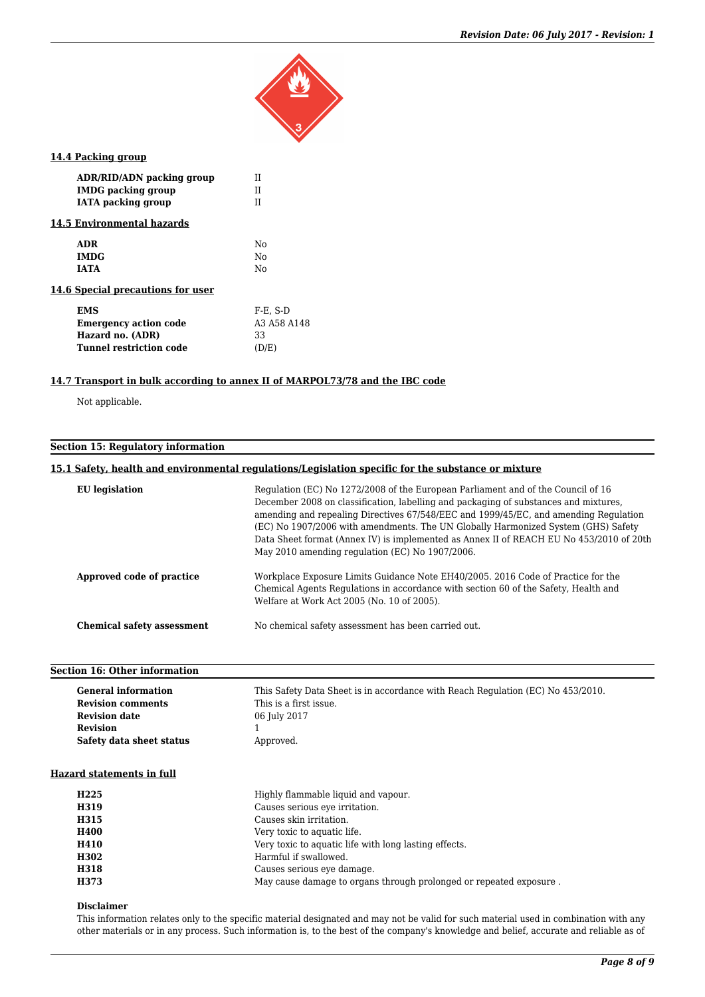

## **14.4 Packing group**

| ADR/RID/ADN packing group         | Ħ              |
|-----------------------------------|----------------|
| <b>IMDG</b> packing group         | П              |
| <b>IATA</b> packing group         | П              |
| 14.5 Environmental hazards        |                |
| <b>ADR</b>                        | No             |
| <b>IMDG</b>                       | N <sub>0</sub> |
| <b>IATA</b>                       | N <sub>0</sub> |
| 14.6 Special precautions for user |                |
| <b>EMS</b>                        | $F-E. S-D$     |
| <b>Emergency action code</b>      | A3 A58 A148    |
| Hazard no. (ADR)                  | 33             |
| Tunnel restriction code           | (D/E)          |

# **14.7 Transport in bulk according to annex II of MARPOL73/78 and the IBC code**

Not applicable.

# **Section 15: Regulatory information**

## **15.1 Safety, health and environmental regulations/Legislation specific for the substance or mixture**

| <b>EU</b> legislation             | Regulation (EC) No 1272/2008 of the European Parliament and of the Council of 16<br>December 2008 on classification, labelling and packaging of substances and mixtures,<br>amending and repealing Directives 67/548/EEC and 1999/45/EC, and amending Regulation<br>(EC) No 1907/2006 with amendments. The UN Globally Harmonized System (GHS) Safety<br>Data Sheet format (Annex IV) is implemented as Annex II of REACH EU No 453/2010 of 20th<br>May 2010 amending regulation (EC) No 1907/2006. |
|-----------------------------------|-----------------------------------------------------------------------------------------------------------------------------------------------------------------------------------------------------------------------------------------------------------------------------------------------------------------------------------------------------------------------------------------------------------------------------------------------------------------------------------------------------|
| Approved code of practice         | Workplace Exposure Limits Guidance Note EH40/2005. 2016 Code of Practice for the<br>Chemical Agents Regulations in accordance with section 60 of the Safety, Health and<br>Welfare at Work Act 2005 (No. 10 of 2005).                                                                                                                                                                                                                                                                               |
| <b>Chemical safety assessment</b> | No chemical safety assessment has been carried out.                                                                                                                                                                                                                                                                                                                                                                                                                                                 |

## **Section 16: Other information**

| <b>General information</b> | This Safety Data Sheet is in accordance with Reach Regulation (EC) No 453/2010. |
|----------------------------|---------------------------------------------------------------------------------|
| <b>Revision comments</b>   | This is a first issue.                                                          |
| <b>Revision date</b>       | 06 July 2017                                                                    |
| <b>Revision</b>            |                                                                                 |
| Safety data sheet status   | Approved.                                                                       |

#### **Hazard statements in full**

| H <sub>225</sub> | Highly flammable liquid and vapour.                                |
|------------------|--------------------------------------------------------------------|
| H319             | Causes serious eve irritation.                                     |
| H315             | Causes skin irritation.                                            |
| <b>H400</b>      | Very toxic to aquatic life.                                        |
| <b>H410</b>      | Very toxic to aquatic life with long lasting effects.              |
| H302             | Harmful if swallowed.                                              |
| H318             | Causes serious eye damage.                                         |
| H373             | May cause damage to organs through prolonged or repeated exposure. |

#### **Disclaimer**

This information relates only to the specific material designated and may not be valid for such material used in combination with any other materials or in any process. Such information is, to the best of the company's knowledge and belief, accurate and reliable as of